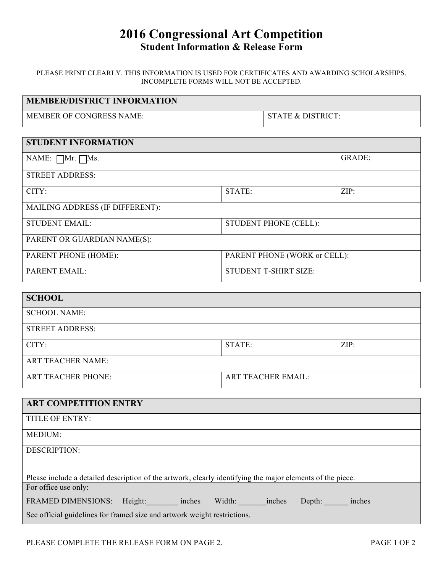# **2016 Congressional Art Competition Student Information & Release Form**

PLEASE PRINT CLEARLY. THIS INFORMATION IS USED FOR CERTIFICATES AND AWARDING SCHOLARSHIPS. INCOMPLETE FORMS WILL NOT BE ACCEPTED.

| <b>MEMBER/DISTRICT INFORMATION</b> |                   |        |
|------------------------------------|-------------------|--------|
| MEMBER OF CONGRESS NAME:           | STATE & DISTRICT: |        |
|                                    |                   |        |
| <b>STUDENT INFORMATION</b>         |                   |        |
| NAME: $\Box$ Mr. $\Box$ Ms.        |                   | GRADE: |

| <b>STREET ADDRESS:</b>                 |                              |      |  |  |
|----------------------------------------|------------------------------|------|--|--|
| CITY:                                  | STATE:                       | ZIP: |  |  |
| <b>MAILING ADDRESS (IF DIFFERENT):</b> |                              |      |  |  |
| <b>STUDENT EMAIL:</b>                  | <b>STUDENT PHONE (CELL):</b> |      |  |  |
| PARENT OR GUARDIAN NAME(S):            |                              |      |  |  |
| PARENT PHONE (HOME):                   | PARENT PHONE (WORK or CELL): |      |  |  |
| <b>PARENT EMAIL:</b>                   | STUDENT T-SHIRT SIZE:        |      |  |  |

| <b>SCHOOL</b>             |                           |      |  |
|---------------------------|---------------------------|------|--|
| <b>SCHOOL NAME:</b>       |                           |      |  |
| <b>STREET ADDRESS:</b>    |                           |      |  |
| CITY:                     | STATE:                    | ZIP: |  |
| <b>ART TEACHER NAME:</b>  |                           |      |  |
| <b>ART TEACHER PHONE:</b> | <b>ART TEACHER EMAIL:</b> |      |  |

| <b>ART COMPETITION ENTRY</b>                                                                               |  |  |
|------------------------------------------------------------------------------------------------------------|--|--|
| <b>TITLE OF ENTRY:</b>                                                                                     |  |  |
| <b>MEDIUM:</b>                                                                                             |  |  |
| <b>DESCRIPTION:</b>                                                                                        |  |  |
|                                                                                                            |  |  |
| Please include a detailed description of the artwork, clearly identifying the major elements of the piece. |  |  |
| For office use only:                                                                                       |  |  |
| FRAMED DIMENSIONS: Height: inches<br>Width: inches<br>Depth: inches                                        |  |  |
| See official guidelines for framed size and artwork weight restrictions.                                   |  |  |